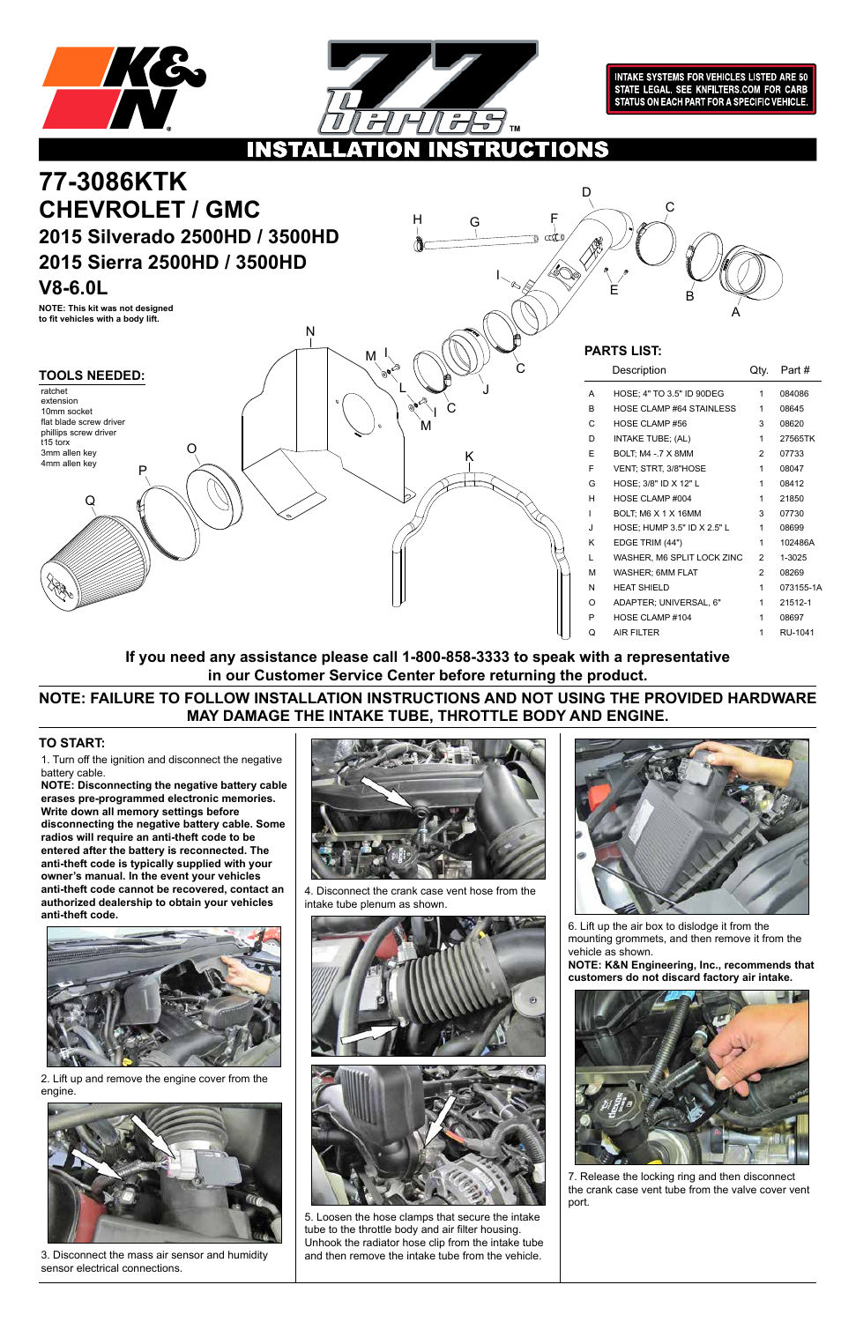



**INTAKE SYSTEMS FOR VEHICLES LISTED ARE 50** STATE LEGAL. SEE KNFILTERS.COM FOR CARB STATUS ON EACH PART FOR A SPECIFIC VEHICLE.

#### **RUCTIONS** INSTA

1. Turn off the ignition and disconnect the negative battery cable.

**NOTE: Disconnecting the negative battery cable erases pre-programmed electronic memories. Write down all memory settings before disconnecting the negative battery cable. Some radios will require an anti-theft code to be entered after the battery is reconnected. The anti-theft code is typically supplied with your owner's manual. In the event your vehicles anti-theft code cannot be recovered, contact an authorized dealership to obtain your vehicles anti-theft code.**



#### **TO START:**



2. Lift up and remove the engine cover from the engine.



3. Disconnect the mass air sensor and humidity sensor electrical connections.





4. Disconnect the crank case vent hose from the intake tube plenum as shown.



5. Loosen the hose clamps that secure the intake tube to the throttle body and air filter housing. Unhook the radiator hose clip from the intake tube and then remove the intake tube from the vehicle.



6. Lift up the air box to dislodge it from the mounting grommets, and then remove it from the vehicle as shown. **NOTE: K&N Engineering, Inc., recommends that** 

**customers do not discard factory air intake.**



7. Release the locking ring and then disconnect the crank case vent tube from the valve cover vent port.

## **NOTE: FAILURE TO FOLLOW INSTALLATION INSTRUCTIONS AND NOT USING THE PROVIDED HARDWARE MAY DAMAGE THE INTAKE TUBE, THROTTLE BODY AND ENGINE.**

## **If you need any assistance please call 1-800-858-3333 to speak with a representative in our Customer Service Center before returning the product.**